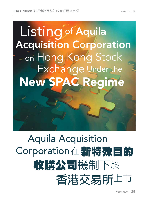# Listing of Aquila Acquisition Corporation on Hong Kong Stock Exchange Under the New SPAC Regime

# Aquila Acquisition Corporation在 新特殊目的 收購公司機制下於 **香港交易所**上市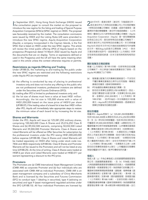In September 2021, Hong Kong Stock Exchange (HKEX) issued<br>the consultation paper to consult the market on the proposal to n September 2021, Hong Kong Stock Exchange (HKEX) issued introduce the new regime for the listing and trading of Special Purpose Acquisition Companies (SPACs) (SPAC regime) on HKEX. The proposal was favourably received by the market. The consultation conclusions were issued by HKEX and the Listing Rules (LR) were amended to introduce the new SPAC regime. Aquila Acquisition Corporation (Aquila), a company incorporated in the Cayman Islands, is the first SPAC that is listed on HKEX under the new SPAC regime. This article will review the initial public offering (IPO) of Aquila based on the prospectus (Prospectus) dated 14 March 2022 issued by Aquila and the documents that are on display. Terms or expressions defined or used in the Prospectus and the LR will have the same meaning when used in this article unless the context otherwise requires or permits.

#### **Restrictions as regards Offering and Trading**

Under LR18B.03, the marketing to and trading by the public under the new SPAC regime are restricted and the following restrictions under Aquila IPO are implemented:

- (a) the offering is conducted by way of placing to professional investors only and does not involve any offering to the public who are not professional investors; professional investors are defined under the Securities and Futures Ordinance (SFO);
- (b) trading after IPO is limited to professional investors only; and
- (c) the lot size of shares must have a value at least HK\$1 million. Accordingly, the lot size is 105,000 shares with a value of HK\$1,050,000 based on the issue price of HK\$10 per share (LR18B.07); if the trading value of a board lot is less than HK\$1 million after IPO, Aquila will immediately take appropriate steps to restore the minimum value of each board lot by increasing the lot size.

## **Shares and Warrants**

Under the IPO, Aquila will issue (a) 125,081,250 ordinary shares, comprising 100,065,000 Class A Shares and 25,016,250 Class B Shares and (b) 89,032,500 warrants, comprising 50,032,500 Listed Warrants and 39,000,000 Promoter Warrants. Class A Shares and Listed Warrants will be offered as Offer Securities for subscription by the professional investors under the IPO raising HK\$1,000,650,000 before expense (LR18B.08). Class A Shares and Listed Warrants will be traded separately on HKEX after listing under stock code nos. 7836 and 4836 respectively (LR18B.06). Class B Shares and Promoter Warrants will be issued to the Promoters and will not be listed at any time (LR18B.25). At the time of writing, Class A Shares were traded at HK\$9.6 per share and Listed Warrants were traded at HK\$0.011 per warrant representing a discount to the IPO price.

# **Promoters**

The Promoters are (a) CMB International Asset Management Limited (CMBI AM) as corporate Promoter and (b) four individuals who are associated with CMBI AM as individual Promoters. CMBI AM is an asset management company and a subsidiary of China Merchants Bank and is licensed by the Securities and Futures Commission (SFC) to conduct type 1 (dealing in securities), type 4 (advising on securities) and type 9 (asset management) regulated activities under the SFO (LR18B.10). All four individual Promoters are licensed by  $\sum_{\vec{m}}^{021\, \text{F9} \text{F}}$ ,香港交易所(港交所)刊發諮詢文件, (特殊目的收購公司機制)的建議,諮詢市場意見。建 議得到市場的積極響應。港交所刊發諮詢總結,《上市 規則》獲修訂以引入新特殊目的收購公司機制。Aquila Acquisition Corporation (Aquila) 是一家在開曼群島 註冊成立的公司,是在新特殊目的收購公司機制下, 首家於港交所上市的特殊目的收購公司。本文將根據 Aquila於2022年3月14日刊發的招股章程及可供查閱 的文件,檢討Aquila的首次公開發售(IPO)。除非 文意另有要求或許可,招股章程及《上市規則》所界 定或使用的詞語或表達,於本文使用時將具有相同的 涵義。

#### **關於發售及交易的限制**

根據《上市規則》第18B.03條,在新特殊目的收購 公司機制下,向公眾進行營銷或買賣受到了限制,而 Aquila IPO實施了以下限制:

- (a) 發售僅以配售方式向專業投資者進行,不涉及向 不屬於專業投資者的公眾作出任何發售;專業投 資者的定義見《證券及期貨條例》;
- (b) IPO後僅限由專業投資者進行買賣;及
- (c) 股份的交易單位金額至少為100萬港元。因此, 按發行價每股10港元計算,交易單位為105,000 股,金額為1,050,000港元(《上市規則》第 18B.07條);若IPO後的一手交易額低於100萬 港元,Aquila將立即採取適當措施,透過增加交 易單位恢復每手的最低金額。

#### **股份及權證**

根據 IPO, Aquila 將發行 (a) 125,081,250 股普通股, 包括100,065,000股 A 類股份及25,016,250 股 B 類股 份;及(b)89,032,500股權證,包括 50,032,500 股上 市權證及 39,000,000 股發起人權證。A類股份及上市 權證根據 IPO 將作為發售證券發售,以供專業投資者認 購,籌集的資金為1,000,650,000 港元(扣除開支前) (《上市規則》第18B.08 條)。A 類股份及上市權證 將於上市後在港交所分開買賣,股份代號分別為7836 及4836(《上市規則》第18B.06條)。B 類股份及發 起人權證將向發起人發行,並在任何時候均不會上市 (《上市規則》第18B.25條)。在撰寫本文之時,A 類 股份的交易價格為每股 9.6 港元,上市權證的交易價格 為每份權證0.011港元,較IPO價格有所折讓。

#### **發起人**

發起人是(a)作為企業發起人的招銀國際資產管理有 限公司(招銀國際資產管理); 及(b)作為個人發起 人與招銀國際資產管理有關聯的四名個人。招銀國際資 產管理是一家資產管理公司,為招商銀行的附屬公司, 獲證券及期貨事務監察委員會(證監會)發牌根據《證 券及期貨條例》從事第1類(證券交易)、第4類(就 證券提供意見)及第9類(提供資產管理)受規管活動 (《上市規則》第18B.10條)。全部四名個人發起人 均獲證監會發牌根據《證券及期貨條例》為招銀國際資 產管理從事第1類、第4類及第9類受規管活動,並已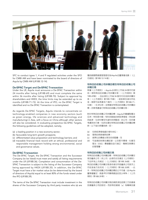

SFC to conduct types 1, 4 and 9 regulated activities under the SFO for CMBI AM and have been nominated to the board of directors of Aquila by CMBI AM (LR18B.12-14).

## **De-SPAC Target and De-SPAC Transaction**

Under the LR, Aquila must announce a De-SPAC Transaction within 24 months after listing (LR18B.69) and must complete the same within 36 months after listing (LR18B.70). Subject to approval by shareholders and HKEX, the time limits may be extended up to six months (LR18B.71-72). At the time of IPO, no De-SPAC Target is identified and no De-SPAC Transaction is contemplated.

As regards De-SPAC Targets, Aquila intends to concentrate on technology-enabled companies in new economy sectors (such as green energy, life sciences and advanced technology and manufacturing) in Asia, with a focus on China although other sectors will also be considered. In evaluating prospective De-SPAC Targets, the following guidelines will be adopted, namely,

- (a) a leading position in a new economy sector;
- (b) favourable long-term growth prospects;
- (c) differentiated value proposition and technology barriers; and
- (d) traceable financial track record with an ethical, professional and responsible management holding strong environmental, social and governance values.

#### **De-SPAC Transaction**

The De-SPAC Target, the De-SPAC Transaction and the Successor Company (to be listed) must meet and satisfy all listing requirements under the LR (LR18B.36). Completion and consummation of the De-SPAC Transaction is subject to the listing of the Successor Company being approved by HKEX (LR18B.35). In addition, the De-SPAC Target must have a fair market value (to be determined by the board of directors of Aquila) equal to at least 80% of the funds raised under the IPO (LR18B.39).

The terms of the De-SPAC Transaction must include investment in the shares of the Successor Company by third party investors who (a) are 獲招銀國際資產管理提名為Aquila的董事會成員(《上 市規則》第18B.12-14條)。

# **特殊目的收購公司併購目標及特殊目的收購公司 併購交易**

根據《上市規則》,Aquila 必須在上市後 24 個月內宣 佈一項特殊目的收購公司併購交易(《上市規則》第 18B.69條),日心須在上市後 36 個月内完成該併購交 易(《上市規則》第18B.70條)。經股東及港交所批 准,期限可延長最多六個月(《上市規則》第18B.71- 72條)。在IPO時,並無確定特殊目的收購公司併購目 標,亦無考慮進行特殊目的收購公司併購交易。

對於特殊目的收購公司併購目標,Aquila 計劃重點關注 亞洲,特別是中國,有科技賦能的新經濟領域(例如綠 色能源、生命科學及先進科技與製造)的公司,但亦會 考慮其他行業。在評估潛在特殊目的收購公司併購目標 時,以下指引將獲採納,即:

- (a) 在新經濟領域處於領先地位;
- (b) 理想的長期增長前景;
- (c) 差異化的價值主張及技術壁壘;及
- (d) 可追溯的財務往績記錄,以及堅守環境、社會及 管治(ESG)價值觀的品行端正、專業及負責任 的管理層。

#### **特殊目的收購公司併購交易**

特殊目的收購公司併購目標、特殊目的收購公司併購交 易及繼承公司(待上市)必須符合及滿足《上市規則》 下的所有上市規定(《上市規則》第18B.36條)。特 殊目的收購公司併購交易須待港交所就繼承公司授予上 市批准後方告完成(《上市規則》第18B.35條)。此 外,特殊目的收購公司併購目標的公平市值(由 Aquila 董事會釐定)須達IPO所籌得資金的至少80%(《上市 規則》第18B.39條)。

特殊目的收購公司併購交易的條款須包括第三方投資者 投資繼承公司的股份,而該等投資者(a)為專業投資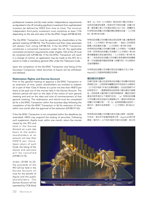professional investors and (b) meet certain independence requirements as stipulated in the LR including significant investment from sophisticated investors (as defined by HKEX from time to time). The minimum independent third party investment must constitute at least 7.5% depending on the size and value of the De-SPAC Target (LR18B.40-43).

The De-SPAC Transaction must be approved by shareholders at the general meeting (LR18B.53). The Promoters and their close associates will abstain from voting (LR18B.54). If the De-SPAC Transaction constitutes a connected transaction under the LR, the applicable connected connection requirements under chapter 14A of the LR must be complied with (LR18B.56). If the De-SPAC Transaction will result in a change of control, an application may be made to the SFC for a waiver to make a mandatory general offer under the Takeovers Code.

Upon the completion of the De-SPAC Transaction and listing of the Successor Companies, listed securities of Aquila will be withdrawn and delisted.

# **Redemption Rights and Escrow Account**

Prior to the general meeting to approve a De-SPAC Transaction or an extension of time, public shareholders are entitled to redeem all or part of their Class A Shares at a price not less than HK\$10 per share to be paid out of the monies held in the Escrow Account. The election period will start on the date of the notice of such general meeting and end on the date and time of commencement of that general meeting. The redemption and refund must be completed (a) for a De-SPAC Transaction within five business days following the completion of the De-SPAC Transaction or (b) for extension of time, within one month after the approval of the extension (LR18B.57-63).

If the De-SPAC Transaction is not completed within the deadlines (as extended), HKEX may suspend the trading of securities. Following such suspension, Aquila must, within one month, return the monies

者及(b)符合《上市規則》規定的若干獨立性規定, 包括來自資深投資者(見港交所不時的定義)的重大投 資。最低獨立第三方投資必須至少佔 7.5%,具體取決 於特殊目的收購公司併購目標的規模及估值(《上市規 則》第18B.40-43條)。

特殊目的收購公司併購交易必須在股東大會上獲得股東 批准(《上市規則》第18B.53條)。發起人及其緊密 聯繫人將放棄表決權(《上市規則》第18B.54條)。 若特殊目的收購公司併購交易屬《上市規則》下的關連 交易,則特殊目的收購公司須遵守《上市規則》第14A 章有關關連交易的適用規定(《上市規則》第18B.56 條)。若特殊目的收購公司併購交易將導致控制權變 更,可向證監會申請豁免根據《收購守則》作出強制性 全面收購要約。

在特殊目的收購公司併購交易完成及繼承公司上市後, Aquila的上市證券將被撤回及除牌。

#### **贖回權及託管賬戶**

在舉行股東大會以批准特殊目的收購公司併購交易或延 長期限之前,公眾股東有權贖回其所有或部分 A 類股份 (以不低於每股 10 港元的價格贖回,並由託管賬戶中 的款項支付)。選擇期限將由該股東大會的通告日期開 始,至該股東大會的舉行日期及時間結束。贖回及退回 資金的程序須於以下期限內完成:(a)特殊目的收購 公司併購交易完成後的五個營業日內(適用於特殊目的 收購公司併購交易); 或(b)延長期限獲批准起計一 個月內(適用於延長期限)(《上市規則》第18B.57- 63條)。

若特殊目的收購公司併購交易未在截止期限(經延期) 內完成,港交所可能暫停證券交易。Aquila 必須在停 牌後一個月內,以不低於每股10港元的金額,按比例

raised by the IPO and held in the Escrow Account on a pro rata basis to the public shareholders at an amount not less than HK\$10 per share. Upon return of such funds, the listing of the shares and warrants will be cancelled (LR18B.73-75).

Under LR18B.16-20, the proceeds of the IPO will be held in the Escrow Account on trust for the benefit of Aquila and the public shareholders. The Escrow Account will be operated by CCB (Asia)